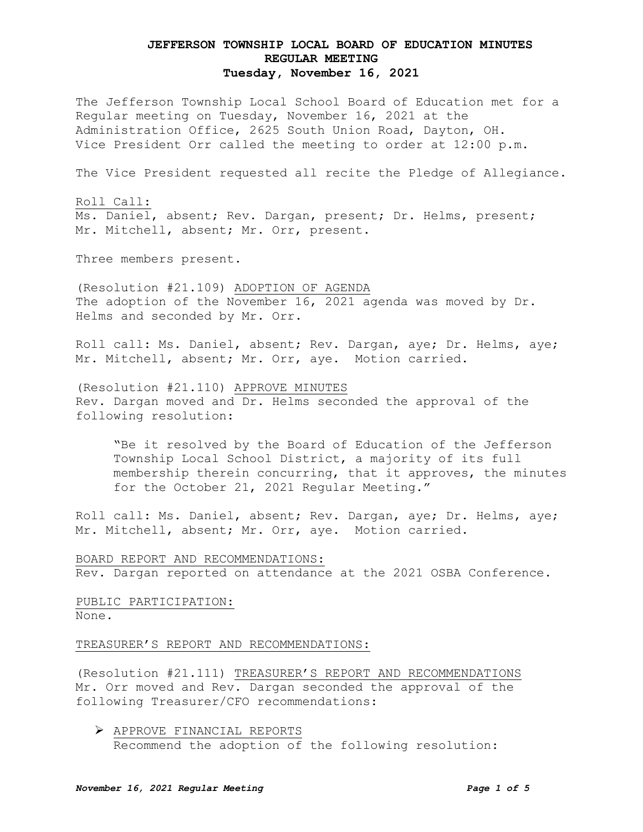The Jefferson Township Local School Board of Education met for a Regular meeting on Tuesday, November 16, 2021 at the Administration Office, 2625 South Union Road, Dayton, OH. Vice President Orr called the meeting to order at 12:00 p.m.

The Vice President requested all recite the Pledge of Allegiance.

Roll Call: Ms. Daniel, absent; Rev. Dargan, present; Dr. Helms, present; Mr. Mitchell, absent; Mr. Orr, present.

Three members present.

(Resolution #21.109) ADOPTION OF AGENDA The adoption of the November 16, 2021 agenda was moved by Dr. Helms and seconded by Mr. Orr.

Roll call: Ms. Daniel, absent; Rev. Dargan, aye; Dr. Helms, aye; Mr. Mitchell, absent; Mr. Orr, aye. Motion carried.

(Resolution #21.110) APPROVE MINUTES Rev. Dargan moved and Dr. Helms seconded the approval of the following resolution:

"Be it resolved by the Board of Education of the Jefferson Township Local School District, a majority of its full membership therein concurring, that it approves, the minutes for the October 21, 2021 Regular Meeting."

Roll call: Ms. Daniel, absent; Rev. Dargan, aye; Dr. Helms, aye; Mr. Mitchell, absent; Mr. Orr, aye. Motion carried.

BOARD REPORT AND RECOMMENDATIONS: Rev. Dargan reported on attendance at the 2021 OSBA Conference.

PUBLIC PARTICIPATION: None.

TREASURER'S REPORT AND RECOMMENDATIONS:

(Resolution #21.111) TREASURER'S REPORT AND RECOMMENDATIONS Mr. Orr moved and Rev. Dargan seconded the approval of the following Treasurer/CFO recommendations:

 APPROVE FINANCIAL REPORTS Recommend the adoption of the following resolution: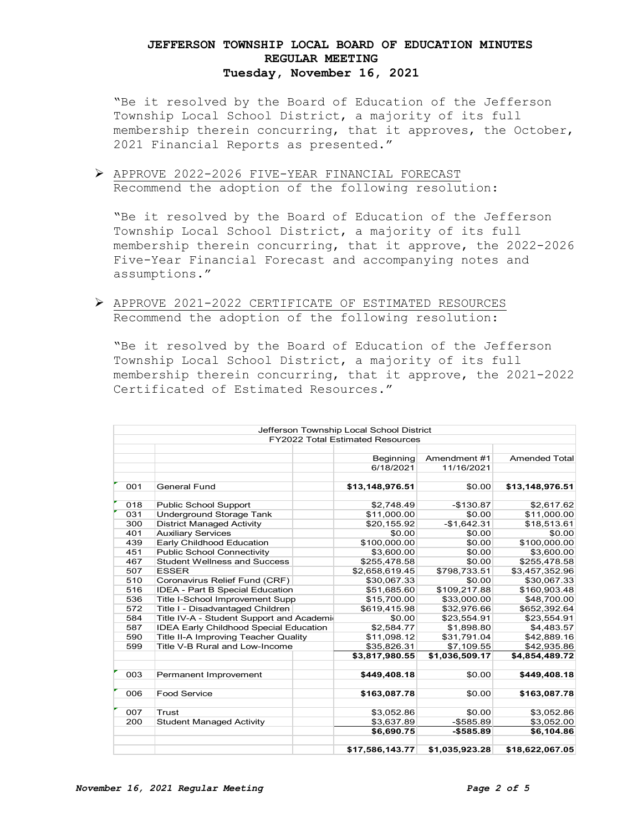"Be it resolved by the Board of Education of the Jefferson Township Local School District, a majority of its full membership therein concurring, that it approves, the October, 2021 Financial Reports as presented."

 APPROVE 2022-2026 FIVE-YEAR FINANCIAL FORECAST Recommend the adoption of the following resolution:

"Be it resolved by the Board of Education of the Jefferson Township Local School District, a majority of its full membership therein concurring, that it approve, the 2022-2026 Five-Year Financial Forecast and accompanying notes and assumptions."

 APPROVE 2021-2022 CERTIFICATE OF ESTIMATED RESOURCES Recommend the adoption of the following resolution:

"Be it resolved by the Board of Education of the Jefferson Township Local School District, a majority of its full membership therein concurring, that it approve, the 2021-2022 Certificated of Estimated Resources."

|     |                                                                                                                                                                      |  | Jefferson Township Local School District |                |                      |
|-----|----------------------------------------------------------------------------------------------------------------------------------------------------------------------|--|------------------------------------------|----------------|----------------------|
|     |                                                                                                                                                                      |  | <b>FY2022 Total Estimated Resources</b>  |                |                      |
|     |                                                                                                                                                                      |  |                                          |                |                      |
|     |                                                                                                                                                                      |  | Beginning                                | Amendment #1   | <b>Amended Total</b> |
|     |                                                                                                                                                                      |  | 6/18/2021                                | 11/16/2021     |                      |
| 001 | <b>General Fund</b>                                                                                                                                                  |  | \$13,148,976.51                          | \$0.00         | \$13,148,976.51      |
|     |                                                                                                                                                                      |  |                                          |                |                      |
| 018 | <b>Public School Support</b>                                                                                                                                         |  | \$2,748.49                               | $-$130.87$     | \$2,617.62           |
| 031 | <b>Underground Storage Tank</b>                                                                                                                                      |  | \$11.000.00                              | \$0.00         | \$11,000.00          |
| 300 | <b>District Managed Activity</b>                                                                                                                                     |  | \$20,155.92                              | $-$1,642.31$   | \$18,513.61          |
| 401 | <b>Auxiliary Services</b>                                                                                                                                            |  | \$0.00                                   | \$0.00         | \$0.00               |
| 439 | Early Childhood Education                                                                                                                                            |  | \$100,000.00                             | \$0.00         | \$100,000.00         |
| 451 | <b>Public School Connectivity</b>                                                                                                                                    |  | \$3,600.00                               | \$0.00         | \$3,600.00           |
| 467 | <b>Student Wellness and Success</b>                                                                                                                                  |  | \$255,478.58                             | \$0.00         | \$255,478.58         |
| 507 | <b>ESSER</b>                                                                                                                                                         |  | \$2,658,619.45                           | \$798,733.51   | \$3,457,352.96       |
| 510 | Coronavirus Relief Fund (CRF)                                                                                                                                        |  | \$30,067.33                              | \$0.00         | \$30,067.33          |
| 516 | IDEA - Part B Special Education                                                                                                                                      |  | \$51,685.60                              | \$109,217.88   | \$160,903.48         |
| 536 | Title I-School Improvement Supp                                                                                                                                      |  | \$15,700.00                              | \$33,000.00    | \$48,700.00          |
| 572 | Title I - Disadvantaged Children                                                                                                                                     |  | \$619,415.98                             | \$32,976.66    | \$652,392.64         |
| 584 | Title IV-A - Student Support and Academio<br><b>IDEA Early Childhood Special Education</b><br>Title II-A Improving Teacher Quality<br>Title V-B Rural and Low-Income |  | \$0.00                                   | \$23,554.91    | \$23,554.91          |
| 587 |                                                                                                                                                                      |  | \$2,584.77                               | \$1,898.80     | \$4,483.57           |
| 590 |                                                                                                                                                                      |  | \$11,098.12                              | \$31,791.04    | \$42,889.16          |
| 599 |                                                                                                                                                                      |  | \$35,826.31                              | \$7,109.55     | \$42,935.86          |
|     |                                                                                                                                                                      |  | \$3,817,980.55                           | \$1,036,509.17 | \$4,854,489.72       |
|     |                                                                                                                                                                      |  |                                          |                |                      |
| 003 | Permanent Improvement                                                                                                                                                |  | \$449,408.18                             | \$0.00         | \$449,408.18         |
| 006 | <b>Food Service</b>                                                                                                                                                  |  | \$163,087.78                             | \$0.00         | \$163,087.78         |
| 007 | Trust                                                                                                                                                                |  | \$3,052.86                               | \$0.00         | \$3,052.86           |
| 200 | <b>Student Managed Activity</b>                                                                                                                                      |  | \$3,637.89                               | $-$ \$585.89   | \$3,052.00           |
|     |                                                                                                                                                                      |  | \$6,690.75                               | $- $585.89$    | \$6,104.86           |
|     |                                                                                                                                                                      |  | \$17,586,143.77                          | \$1,035,923.28 | \$18,622,067.05      |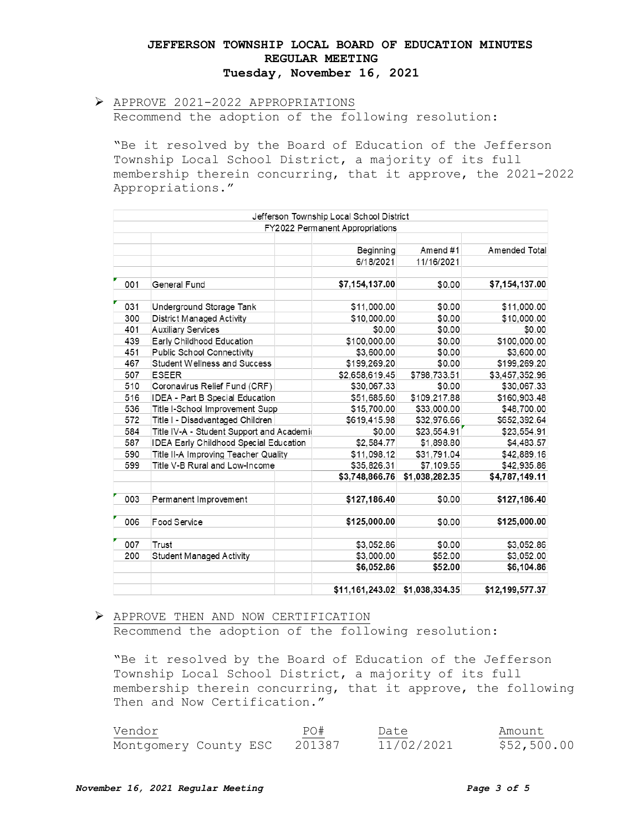# APPROVE 2021-2022 APPROPRIATIONS Recommend the adoption of the following resolution:

"Be it resolved by the Board of Education of the Jefferson Township Local School District, a majority of its full membership therein concurring, that it approve, the 2021-2022 Appropriations."

|     |                                               | Jefferson Township Local School District |                |                 |
|-----|-----------------------------------------------|------------------------------------------|----------------|-----------------|
|     |                                               | FY2022 Permanent Appropriations          |                |                 |
|     |                                               |                                          |                |                 |
|     |                                               | Beginning                                | Amend#1        | Amended Total   |
|     |                                               | 6/18/2021                                | 11/16/2021     |                 |
| 001 | General Fund                                  | \$7,154,137.00                           | \$0.00         | \$7,154,137.00  |
| 031 | Underground Storage Tank                      | \$11,000.00                              | \$0.00         | \$11,000.00     |
| 300 | <b>District Managed Activity</b>              | \$10,000.00                              | \$0.00         | \$10,000.00     |
| 401 | <b>Auxiliary Services</b>                     | \$0.00                                   | \$0.00         | \$0.00          |
| 439 | Early Childhood Education                     | \$100,000.00                             | \$0.00         | \$100,000.00    |
| 451 | Public School Connectivity                    | \$3,600.00                               | \$0.00         | \$3,600.00      |
| 467 | <b>Student Wellness and Success</b>           | \$199,269.20                             | \$0.00         | \$199,269.20    |
| 507 | <b>ESEER</b>                                  | \$2,658,619.45                           | \$798,733.51   | \$3,457,352.96  |
| 510 | Coronavirus Relief Fund (CRF)                 | \$30,067.33                              | \$0.00         | \$30,067.33     |
| 516 | <b>IDEA - Part B Special Education</b>        | \$51,685.60                              | \$109,217.88   | \$160,903.48    |
| 536 | Title I-School Improvement Supp               | \$15,700.00                              | \$33,000.00    | \$48,700.00     |
| 572 | Title I - Disadvantaged Children              | \$619,415.98                             | \$32,976.66    | \$652,392.64    |
| 584 | Title IV-A - Student Support and Academic     | \$0.00                                   | \$23,554.91    | \$23,554.91     |
| 587 | <b>IDEA Early Childhood Special Education</b> | \$2,584.77                               | \$1,898.80     | \$4,483.57      |
| 590 | Title II-A Improving Teacher Quality          | \$11,098.12                              | \$31,791.04    | \$42,889.16     |
| 599 | Title V-B Rural and Low-Income                | \$35,826.31                              | \$7,109.55     | \$42,935.86     |
|     |                                               | \$3,748,866.76                           | \$1,038,282.35 | \$4,787,149.11  |
| 003 | Permanent Improvement                         | \$127,186.40                             | \$0.00         | \$127,186.40    |
| 006 | Food Service                                  | \$125,000.00                             | \$0.00         | \$125,000.00    |
| 007 | Trust                                         | \$3,052.86                               | \$0.00         | \$3,052.86      |
| 200 | <b>Student Managed Activity</b>               | \$3,000.00                               | \$52.00        | \$3,052.00      |
|     |                                               | \$6,052.86                               | \$52.00        | \$6,104.86      |
|     |                                               | \$11,161,243.02                          | \$1,038,334.35 | \$12,199,577.37 |

#### APPROVE THEN AND NOW CERTIFICATION Recommend the adoption of the following resolution:

"Be it resolved by the Board of Education of the Jefferson Township Local School District, a majority of its full membership therein concurring, that it approve, the following Then and Now Certification."

| Vendor                | PO#    | Date       | Amount      |
|-----------------------|--------|------------|-------------|
| Montgomery County ESC | 201387 | 11/02/2021 | \$52,500.00 |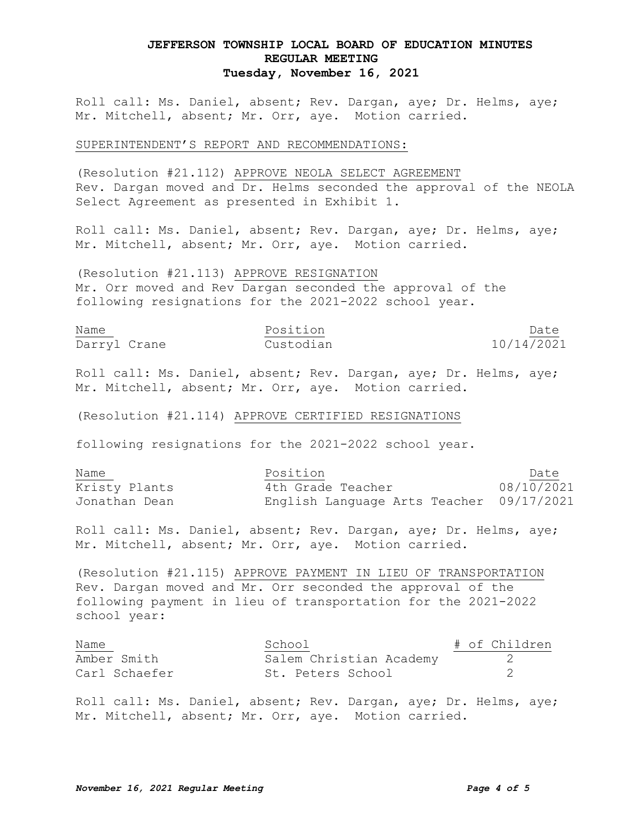Roll call: Ms. Daniel, absent; Rev. Dargan, aye; Dr. Helms, aye; Mr. Mitchell, absent; Mr. Orr, aye. Motion carried.

SUPERINTENDENT'S REPORT AND RECOMMENDATIONS:

(Resolution #21.112) APPROVE NEOLA SELECT AGREEMENT Rev. Dargan moved and Dr. Helms seconded the approval of the NEOLA Select Agreement as presented in Exhibit 1.

Roll call: Ms. Daniel, absent; Rev. Dargan, aye; Dr. Helms, aye; Mr. Mitchell, absent; Mr. Orr, aye. Motion carried.

(Resolution #21.113) APPROVE RESIGNATION Mr. Orr moved and Rev Dargan seconded the approval of the following resignations for the 2021-2022 school year.

| Name         | Position  | Date                                                                      |
|--------------|-----------|---------------------------------------------------------------------------|
| Darryl Crane | Custodian | <u> 1980 - Johann Stoff, amerikansk politiker (d. 1980)</u><br>10/14/2021 |

Roll call: Ms. Daniel, absent; Rev. Dargan, aye; Dr. Helms, aye; Mr. Mitchell, absent; Mr. Orr, aye. Motion carried.

(Resolution #21.114) APPROVE CERTIFIED RESIGNATIONS

following resignations for the 2021-2022 school year.

| Name          | Position                                 | Date       |
|---------------|------------------------------------------|------------|
| Kristy Plants | 4th Grade Teacher                        | 08/10/2021 |
| Jonathan Dean | English Language Arts Teacher 09/17/2021 |            |

Roll call: Ms. Daniel, absent; Rev. Dargan, aye; Dr. Helms, aye; Mr. Mitchell, absent; Mr. Orr, aye. Motion carried.

(Resolution #21.115) APPROVE PAYMENT IN LIEU OF TRANSPORTATION Rev. Dargan moved and Mr. Orr seconded the approval of the following payment in lieu of transportation for the 2021-2022 school year:

| Name          | School                  | # of Children |
|---------------|-------------------------|---------------|
| Amber Smith   | Salem Christian Academy |               |
| Carl Schaefer | St. Peters School       |               |

Roll call: Ms. Daniel, absent; Rev. Dargan, aye; Dr. Helms, aye; Mr. Mitchell, absent; Mr. Orr, aye. Motion carried.